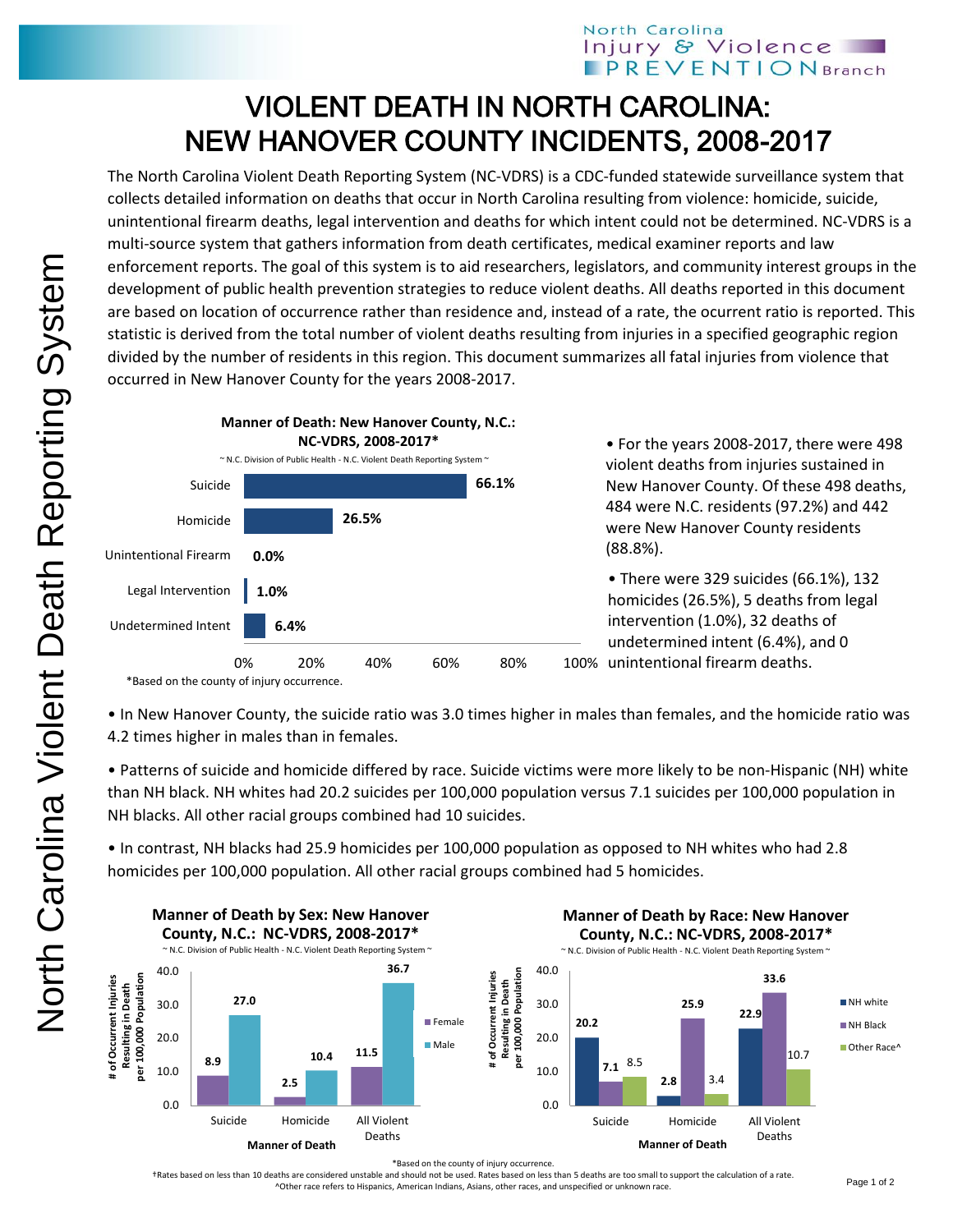## North Carolina Injury & Violence **PREVENTIONBranch**

## VIOLENT DEATH IN NORTH CAROLINA: NEW HANOVER COUNTY INCIDENTS, 2008-2017

The North Carolina Violent Death Reporting System (NC-VDRS) is a CDC-funded statewide surveillance system that collects detailed information on deaths that occur in North Carolina resulting from violence: homicide, suicide, unintentional firearm deaths, legal intervention and deaths for which intent could not be determined. NC-VDRS is a multi-source system that gathers information from death certificates, medical examiner reports and law enforcement reports. The goal of this system is to aid researchers, legislators, and community interest groups in the development of public health prevention strategies to reduce violent deaths. All deaths reported in this document are based on location of occurrence rather than residence and, instead of a rate, the ocurrent ratio is reported. This statistic is derived from the total number of violent deaths resulting from injuries in a specified geographic region divided by the number of residents in this region. This document summarizes all fatal injuries from violence that occurred in New Hanover County for the years 2008-2017.



• In New Hanover County, the suicide ratio was 3.0 times higher in males than females, and the homicide ratio was 4.2 times higher in males than in females.

• Patterns of suicide and homicide differed by race. Suicide victims were more likely to be non-Hispanic (NH) white than NH black. NH whites had 20.2 suicides per 100,000 population versus 7.1 suicides per 100,000 population in NH blacks. All other racial groups combined had 10 suicides.

• In contrast, NH blacks had 25.9 homicides per 100,000 population as opposed to NH whites who had 2.8 homicides per 100,000 population. All other racial groups combined had 5 homicides.



\*Based on the county of injury occurrence.

†Rates based on less than 10 deaths are considered unstable and should not be used. Rates based on less than 5 deaths are too small to support the calculation of a rate. ^Other race refers to Hispanics, American Indians, Asians, other races, and unspecified or unknown race.